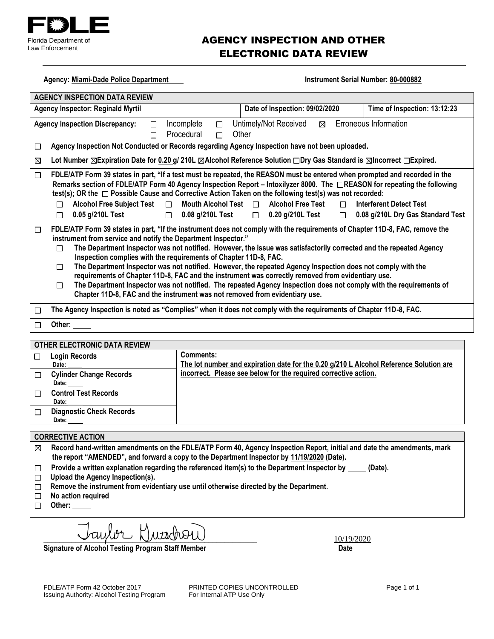

## AGENCY INSPECTION AND OTHER ELECTRONIC DATA REVIEW

Agency: Miami-Dade PD **Instrument Serial Number: 80-000882** 

| <b>AGENCY INSPECTION DATA REVIEW</b>                                                                                                                                                                                                                                                                                                                                                                                                                                                                                                                                                                                                                                                                                                                                                                                                     |           |                                                                                     |  |                                                                                          |
|------------------------------------------------------------------------------------------------------------------------------------------------------------------------------------------------------------------------------------------------------------------------------------------------------------------------------------------------------------------------------------------------------------------------------------------------------------------------------------------------------------------------------------------------------------------------------------------------------------------------------------------------------------------------------------------------------------------------------------------------------------------------------------------------------------------------------------------|-----------|-------------------------------------------------------------------------------------|--|------------------------------------------------------------------------------------------|
| Date of Inspection: 11/25/2020<br>Time of Inspection: 03:11:00<br><b>Agency Inspector: Reginald Myrtil</b>                                                                                                                                                                                                                                                                                                                                                                                                                                                                                                                                                                                                                                                                                                                               |           |                                                                                     |  |                                                                                          |
| Erroneous Information<br>Untimely/Not Received<br><b>Agency Inspection Discrepancy:</b><br>Incomplete<br>$\Box$<br>$\Box$<br>$\Box$<br>Procedural<br>Other<br>$\Box$<br>⊠                                                                                                                                                                                                                                                                                                                                                                                                                                                                                                                                                                                                                                                                |           |                                                                                     |  |                                                                                          |
| Agency Inspection Not Conducted or Records regarding Agency Inspection have not been uploaded.<br>$\Box$                                                                                                                                                                                                                                                                                                                                                                                                                                                                                                                                                                                                                                                                                                                                 |           |                                                                                     |  |                                                                                          |
| Lot Number □ Expiration Date for g/ 210L □ Alcohol Reference Solution □ Dry Gas Standard is □ Incorrect □ Expired.<br>$\Box$                                                                                                                                                                                                                                                                                                                                                                                                                                                                                                                                                                                                                                                                                                             |           |                                                                                     |  |                                                                                          |
| FDLE/ATP Form 39 states in part, "If a test must be repeated, the REASON must be entered when prompted and recorded in the<br>⊠<br>Remarks section of FDLE/ATP Form 40 Agency Inspection Report – Intoxilyzer 8000. The $\boxtimes$ REASON for repeating the following<br>test(s); OR the ⊠ Possible Cause and Corrective Action Taken on the following test(s) was not recorded:<br><b>Alcohol Free Subject Test</b><br>Mouth Alcohol Test $\Box$<br><b>Alcohol Free Test</b><br><b>Interferent Detect Test</b><br>$\Box$<br>⊠<br>п<br>0.05 g/210L Test<br>0.08 g/210L Test<br>$\Box$ 0.20 g/210L Test<br>0.08 g/210L Dry Gas Standard Test<br>$\Box$<br>П<br>$\Box$                                                                                                                                                                    |           |                                                                                     |  |                                                                                          |
| FDLE/ATP Form 39 states in part, "If the instrument does not comply with the requirements of Chapter 11D-8, FAC, remove the<br>□<br>instrument from service and notify the Department Inspector."<br>The Department Inspector was not notified. However, the issue was satisfactorily corrected and the repeated Agency<br>П<br>Inspection complies with the requirements of Chapter 11D-8, FAC.<br>The Department Inspector was not notified. However, the repeated Agency Inspection does not comply with the<br>□<br>requirements of Chapter 11D-8, FAC and the instrument was correctly removed from evidentiary use.<br>The Department Inspector was not notified. The repeated Agency Inspection does not comply with the requirements of<br>$\Box$<br>Chapter 11D-8, FAC and the instrument was not removed from evidentiary use. |           |                                                                                     |  |                                                                                          |
| The Agency Inspection is noted as "Complies" when it does not comply with the requirements of Chapter 11D-8, FAC.<br>$\Box$                                                                                                                                                                                                                                                                                                                                                                                                                                                                                                                                                                                                                                                                                                              |           |                                                                                     |  |                                                                                          |
| Other:<br>$\Box$                                                                                                                                                                                                                                                                                                                                                                                                                                                                                                                                                                                                                                                                                                                                                                                                                         |           |                                                                                     |  |                                                                                          |
| OTHER ELECTRONIC DATA REVIEW                                                                                                                                                                                                                                                                                                                                                                                                                                                                                                                                                                                                                                                                                                                                                                                                             |           |                                                                                     |  |                                                                                          |
| <b>Login Records</b><br>□<br>Date:                                                                                                                                                                                                                                                                                                                                                                                                                                                                                                                                                                                                                                                                                                                                                                                                       | Comments: | The Interferent Detect Test was repeated. The reason for repeating the test and the |  | corrective action taken prior to repeating the test should be included. Please return to |
| <b>Cylinder Change Records</b><br>□<br>Date:                                                                                                                                                                                                                                                                                                                                                                                                                                                                                                                                                                                                                                                                                                                                                                                             |           | your Department Inspector by 02/04/2021.                                            |  |                                                                                          |
| <b>Control Test Records</b><br>□<br>Date:                                                                                                                                                                                                                                                                                                                                                                                                                                                                                                                                                                                                                                                                                                                                                                                                |           |                                                                                     |  |                                                                                          |
| <b>Diagnostic Check Records</b><br>$\Box$<br>Date:                                                                                                                                                                                                                                                                                                                                                                                                                                                                                                                                                                                                                                                                                                                                                                                       |           |                                                                                     |  |                                                                                          |
| <b>CORRECTIVE ACTION</b>                                                                                                                                                                                                                                                                                                                                                                                                                                                                                                                                                                                                                                                                                                                                                                                                                 |           |                                                                                     |  |                                                                                          |
| Record hand-written amendments on the FDLE/ATP Form 40, Agency Inspection Report, initial and date the amendments, mark<br>⊠                                                                                                                                                                                                                                                                                                                                                                                                                                                                                                                                                                                                                                                                                                             |           |                                                                                     |  |                                                                                          |

- **the report "AMENDED", and forward a copy to the Department Inspector by 02/04/2021 (Date).**
- Provide a written explanation regarding the referenced item(s) to the Department Inspector by \_\_\_\_\_ (Date).  $\Box$
- **Upload the Agency Inspection(s).**
- **Remove the instrument from evidentiary use until otherwise directed by the Department.**
- **No action required**
- **Other:**

 $\frac{1}{2^{2/2021}}$ 

Signature of Alcohol Testing Program Staff Member **Date 19th Contact Contact Contact Contact Contact Contact Contact Contact Contact Contact Contact Contact Contact Contact Contact Contact Contact Contact Contact Contact C** 

FDLE/ATP Form 42 October 2017 **PRINTED COPIES UNCONTROLLED** Page 1 of 1<br>
Issuing Authority: Alcohol Testing Program For Internal ATP Use Only Issuing Authority: Alcohol Testing Program